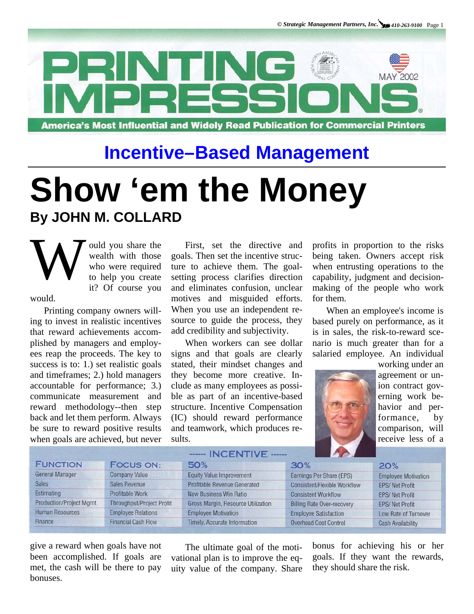

## **Incentive–Based Management**

## **Show 'em the Money By JOHN M. COLLARD**

W ould you share the wealth with those who were required to help you create it? Of course you wealth with those who were required to help you create it? Of course you

would.

Printing company owners willing to invest in realistic incentives that reward achievements accomplished by managers and employees reap the proceeds. The key to success is to: 1.) set realistic goals and timeframes; 2.) hold managers accountable for performance; 3.) communicate measurement and reward methodology--then step back and let them perform. Always be sure to reward positive results when goals are achieved, but never

First, set the directive and goals. Then set the incentive structure to achieve them. The goalsetting process clarifies direction and eliminates confusion, unclear motives and misguided efforts. When you use an independent resource to guide the process, they add credibility and subjectivity.

When workers can see dollar signs and that goals are clearly stated, their mindset changes and they become more creative. Include as many employees as possible as part of an incentive-based structure. Incentive Compensation (IC) should reward performance and teamwork, which produces results.

profits in proportion to the risks being taken. Owners accept risk when entrusting operations to the capability, judgment and decisionmaking of the people who work for them.

When an employee's income is based purely on performance, as it is in sales, the risk-to-reward scenario is much greater than for a salaried employee. An individual



working under an agreement or union contract governing work behavior and performance, by comparison, will receive less of a

|                          | <b>HARRIS HNUS EN NE NE SALTAN DE LA PARTIE DE LA PARTIE DE LA PARTIE DE LA PARTIE DE LA PARTIE DE LA PARTIE DE L</b> |                                     |                                     |                            |
|--------------------------|-----------------------------------------------------------------------------------------------------------------------|-------------------------------------|-------------------------------------|----------------------------|
| <b>FUNCTION</b>          | <b>FOCUS ON:</b>                                                                                                      | 50%                                 | 30%                                 | 20%                        |
| <b>General Manager</b>   | <b>Company Value</b>                                                                                                  | <b>Equity Value Improvement</b>     | Earnings Per Share (EPS)            | <b>Employee Motivation</b> |
| <b>Sales</b>             | <b>Sales Revenue</b>                                                                                                  | <b>Profitable Revenue Generated</b> | <b>Consistent/Flexible Workflow</b> | <b>EPS/Net Profit</b>      |
| Estimating               | Profitable Work                                                                                                       | <b>New Business Win Ratio</b>       | <b>Consistent Workflow</b>          | <b>EPS/Net Profit</b>      |
| Production/Project Mgmt. | <b>Throughput/Project Profit</b>                                                                                      | Gross Margin, Resource Utilization  | <b>Billing Rate Over-recovery</b>   | <b>EPS/Net Profit</b>      |
| <b>Human Resources</b>   | <b>Employee Relations</b>                                                                                             | <b>Employee Motivation</b>          | <b>Employee Satisfaction</b>        | Low Rate of Turnover       |
| Finance                  | <b>Financial Cash Flow</b>                                                                                            | <b>Timely, Accurate Information</b> | <b>Overhead Cost Control</b>        | <b>Cash Availability</b>   |

 $P_{\text{A}}$ 

give a reward when goals have not been accomplished. If goals are met, the cash will be there to pay bonuses.

The ultimate goal of the motivational plan is to improve the equity value of the company. Share bonus for achieving his or her goals. If they want the rewards, they should share the risk.